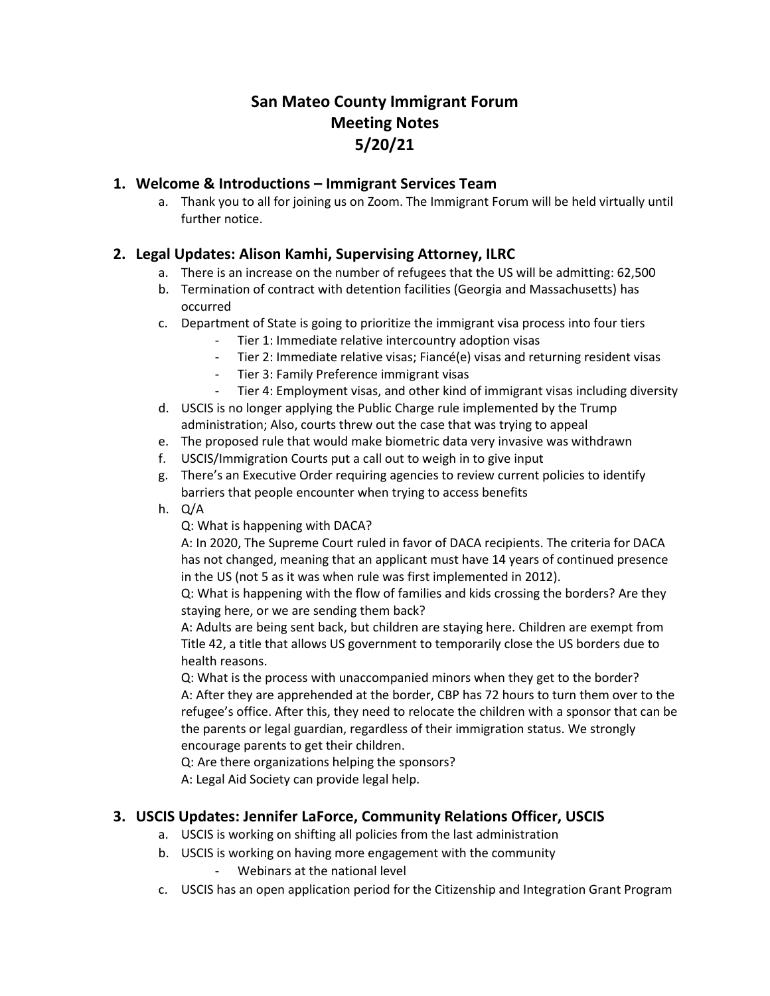# **San Mateo County Immigrant Forum Meeting Notes 5/20/21**

#### **1. Welcome & Introductions – Immigrant Services Team**

a. Thank you to all for joining us on Zoom. The Immigrant Forum will be held virtually until further notice.

### **2. Legal Updates: Alison Kamhi, Supervising Attorney, ILRC**

- a. There is an increase on the number of refugees that the US will be admitting: 62,500
- b. Termination of contract with detention facilities (Georgia and Massachusetts) has occurred
- c. Department of State is going to prioritize the immigrant visa process into four tiers
	- Tier 1: Immediate relative intercountry adoption visas
	- Tier 2: Immediate relative visas; Fiancé(e) visas and returning resident visas
	- Tier 3: Family Preference immigrant visas
	- Tier 4: Employment visas, and other kind of immigrant visas including diversity
- d. USCIS is no longer applying the Public Charge rule implemented by the Trump administration; Also, courts threw out the case that was trying to appeal
- e. The proposed rule that would make biometric data very invasive was withdrawn
- f. USCIS/Immigration Courts put a call out to weigh in to give input
- g. There's an Executive Order requiring agencies to review current policies to identify barriers that people encounter when trying to access benefits
- h. Q/A

Q: What is happening with DACA?

A: In 2020, The Supreme Court ruled in favor of DACA recipients. The criteria for DACA has not changed, meaning that an applicant must have 14 years of continued presence in the US (not 5 as it was when rule was first implemented in 2012).

Q: What is happening with the flow of families and kids crossing the borders? Are they staying here, or we are sending them back?

A: Adults are being sent back, but children are staying here. Children are exempt from Title 42, a title that allows US government to temporarily close the US borders due to health reasons.

Q: What is the process with unaccompanied minors when they get to the border? A: After they are apprehended at the border, CBP has 72 hours to turn them over to the refugee's office. After this, they need to relocate the children with a sponsor that can be the parents or legal guardian, regardless of their immigration status. We strongly encourage parents to get their children.

Q: Are there organizations helping the sponsors?

A: Legal Aid Society can provide legal help.

## **3. USCIS Updates: Jennifer LaForce, Community Relations Officer, USCIS**

- a. USCIS is working on shifting all policies from the last administration
- b. USCIS is working on having more engagement with the community Webinars at the national level
- c. USCIS has an open application period for the Citizenship and Integration Grant Program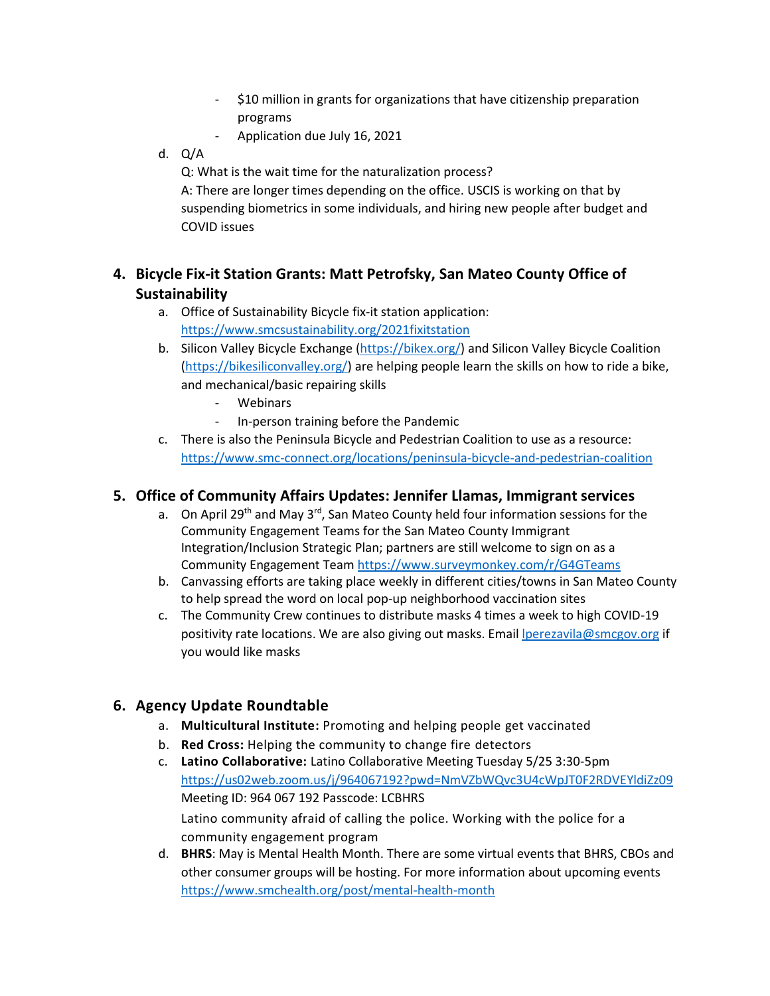- \$10 million in grants for organizations that have citizenship preparation programs
- Application due July 16, 2021
- d. Q/A

Q: What is the wait time for the naturalization process?

A: There are longer times depending on the office. USCIS is working on that by suspending biometrics in some individuals, and hiring new people after budget and COVID issues

## **4. Bicycle Fix-it Station Grants: Matt Petrofsky, San Mateo County Office of Sustainability**

- a. Office of Sustainability Bicycle fix-it station application: <https://www.smcsustainability.org/2021fixitstation>
- b. Silicon Valley Bicycle Exchange [\(https://bikex.org/\)](https://bikex.org/) and Silicon Valley Bicycle Coalition [\(https://bikesiliconvalley.org/\)](https://bikesiliconvalley.org/) are helping people learn the skills on how to ride a bike, and mechanical/basic repairing skills
	- **Webinars**
	- In-person training before the Pandemic
- c. There is also the Peninsula Bicycle and Pedestrian Coalition to use as a resource: <https://www.smc-connect.org/locations/peninsula-bicycle-and-pedestrian-coalition>

### **5. Office of Community Affairs Updates: Jennifer Llamas, Immigrant services**

- a. On April 29<sup>th</sup> and May 3<sup>rd</sup>, San Mateo County held four information sessions for the Community Engagement Teams for the San Mateo County Immigrant Integration/Inclusion Strategic Plan; partners are still welcome to sign on as a Community Engagement Team <https://www.surveymonkey.com/r/G4GTeams>
- b. Canvassing efforts are taking place weekly in different cities/towns in San Mateo County to help spread the word on local pop-up neighborhood vaccination sites
- c. The Community Crew continues to distribute masks 4 times a week to high COVID-19 positivity rate locations. We are also giving out masks. Email *perezavila@smcgov.org* if you would like masks

## **6. Agency Update Roundtable**

- a. **Multicultural Institute:** Promoting and helping people get vaccinated
- b. **Red Cross:** Helping the community to change fire detectors
- c. **Latino Collaborative:** Latino Collaborative Meeting Tuesday 5/25 3:30-5pm <https://us02web.zoom.us/j/964067192?pwd=NmVZbWQvc3U4cWpJT0F2RDVEYldiZz09> Meeting ID: 964 067 192 Passcode: LCBHRS Latino community afraid of calling the police. Working with the police for a community engagement program
- d. **BHRS**: May is Mental Health Month. There are some virtual events that BHRS, CBOs and other consumer groups will be hosting. For more information about upcoming events <https://www.smchealth.org/post/mental-health-month>